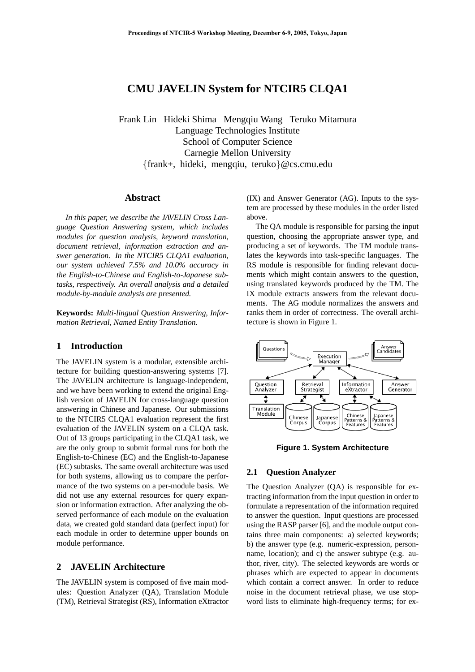# **CMU JAVELIN System for NTCIR5 CLQA1**

Frank Lin Hideki Shima Mengqiu Wang Teruko Mitamura Language Technologies Institute School of Computer Science Carnegie Mellon University {frank+, hideki, mengqiu, teruko}@cs.cmu.edu

### **Abstract**

*In this paper, we describe the JAVELIN Cross Language Question Answering system, which includes modules for question analysis, keyword translation, document retrieval, information extraction and answer generation. In the NTCIR5 CLQA1 evaluation, our system achieved 7.5% and 10.0% accuracy in the English-to-Chinese and English-to-Japanese subtasks, respectively. An overall analysis and a detailed module-by-module analysis are presented.*

**Keywords:** *Multi-lingual Question Answering, Information Retrieval, Named Entity Translation.*

### **1 Introduction**

The JAVELIN system is a modular, extensible architecture for building question-answering systems [7]. The JAVELIN architecture is language-independent, and we have been working to extend the original English version of JAVELIN for cross-language question answering in Chinese and Japanese. Our submissions to the NTCIR5 CLQA1 evaluation represent the first evaluation of the JAVELIN system on a CLQA task. Out of 13 groups participating in the CLQA1 task, we are the only group to submit formal runs for both the English-to-Chinese (EC) and the English-to-Japanese (EC) subtasks. The same overall architecture was used for both systems, allowing us to compare the performance of the two systems on a per-module basis. We did not use any external resources for query expansion or information extraction. After analyzing the observed performance of each module on the evaluation data, we created gold standard data (perfect input) for each module in order to determine upper bounds on module performance.

# **2 JAVELIN Architecture**

The JAVELIN system is composed of five main modules: Question Analyzer (QA), Translation Module (TM), Retrieval Strategist (RS), Information eXtractor (IX) and Answer Generator (AG). Inputs to the system are processed by these modules in the order listed above.

The QA module is responsible for parsing the input question, choosing the appropriate answer type, and producing a set of keywords. The TM module translates the keywords into task-specific languages. The RS module is responsible for finding relevant documents which might contain answers to the question, using translated keywords produced by the TM. The IX module extracts answers from the relevant documents. The AG module normalizes the answers and ranks them in order of correctness. The overall architecture is shown in Figure 1.



**Figure 1. System Architecture**

#### **2.1 Question Analyzer**

The Question Analyzer (QA) is responsible for extracting information from the input question in order to formulate a representation of the information required to answer the question. Input questions are processed using the RASP parser [6], and the module output contains three main components: a) selected keywords; b) the answer type (e.g. numeric-expression, personname, location); and c) the answer subtype (e.g. author, river, city). The selected keywords are words or phrases which are expected to appear in documents which contain a correct answer. In order to reduce noise in the document retrieval phase, we use stopword lists to eliminate high-frequency terms; for ex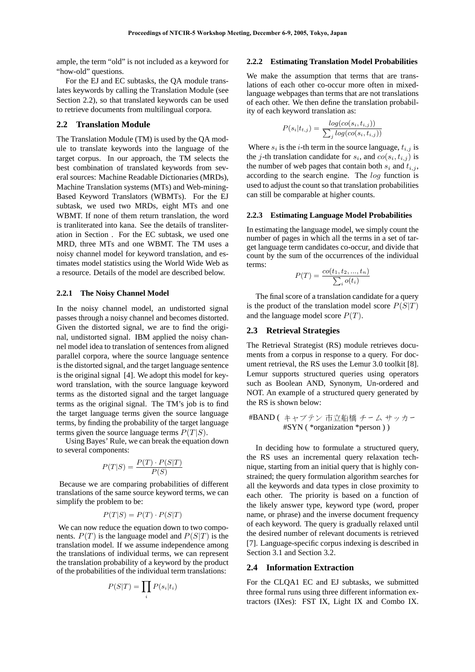ample, the term "old" is not included as a keyword for "how-old" questions.

For the EJ and EC subtasks, the QA module translates keywords by calling the Translation Module (see Section 2.2), so that translated keywords can be used to retrieve documents from multilingual corpora.

#### **2.2 Translation Module**

The Translation Module (TM) is used by the QA module to translate keywords into the language of the target corpus. In our approach, the TM selects the best combination of translated keywords from several sources: Machine Readable Dictionaries (MRDs), Machine Translation systems (MTs) and Web-mining-Based Keyword Translators (WBMTs). For the EJ subtask, we used two MRDs, eight MTs and one WBMT. If none of them return translation, the word is tranliterated into kana. See the details of transliteration in Section . For the EC subtask, we used one MRD, three MTs and one WBMT. The TM uses a noisy channel model for keyword translation, and estimates model statistics using the World Wide Web as a resource. Details of the model are described below.

## **2.2.1 The Noisy Channel Model**

In the noisy channel model, an undistorted signal passes through a noisy channel and becomes distorted. Given the distorted signal, we are to find the original, undistorted signal. IBM applied the noisy channel model idea to translation of sentences from aligned parallel corpora, where the source language sentence is the distorted signal, and the target language sentence is the original signal [4]. We adopt this model for keyword translation, with the source language keyword terms as the distorted signal and the target language terms as the original signal. The TM's job is to find the target language terms given the source language terms, by finding the probability of the target language terms given the source language terms  $P(T|S)$ .

Using Bayes' Rule, we can break the equation down to several components:

$$
P(T|S) = \frac{P(T) \cdot P(S|T)}{P(S)}
$$

Because we are comparing probabilities of different translations of the same source keyword terms, we can simplify the problem to be:

$$
P(T|S) = P(T) \cdot P(S|T)
$$

We can now reduce the equation down to two components.  $P(T)$  is the language model and  $P(S|T)$  is the translation model. If we assume independence among the translations of individual terms, we can represent the translation probability of a keyword by the product of the probabilities of the individual term translations:

$$
P(S|T) = \prod_i P(s_i|t_i)
$$

### **2.2.2 Estimating Translation Model Probabilities**

We make the assumption that terms that are translations of each other co-occur more often in mixedlanguage webpages than terms that are not translations of each other. We then define the translation probability of each keyword translation as:

$$
P(s_i|t_{t,j}) = \frac{log(co(s_i, t_{i,j}))}{\sum_j log(co(s_i, t_{i,j}))}
$$

Where  $s_i$  is the *i*-th term in the source language,  $t_{i,j}$  is the *j*-th translation candidate for  $s_i$ , and  $co(s_i, t_{i,j})$  is the number of web pages that contain both  $s_i$  and  $t_{i,j}$ , according to the search engine. The log function is used to adjust the count so that translation probabilities can still be comparable at higher counts.

### **2.2.3 Estimating Language Model Probabilities**

In estimating the language model, we simply count the number of pages in which all the terms in a set of target language term candidates co-occur, and divide that count by the sum of the occurrences of the individual terms:

$$
P(T) = \frac{co(t_1, t_2, ..., t_n)}{\sum_i o(t_i)}
$$

The final score of a translation candidate for a query is the product of the translation model score  $P(S|T)$ and the language model score  $P(T)$ .

### **2.3 Retrieval Strategies**

The Retrieval Strategist (RS) module retrieves documents from a corpus in response to a query. For document retrieval, the RS uses the Lemur 3.0 toolkit [8]. Lemur supports structured queries using operators such as Boolean AND, Synonym, Un-ordered and NOT. An example of a structured query generated by the RS is shown below:

#BAND ( ãׯó -Ë9K Áüà µ«ü #SYN ( \*organization \*person ) )

In deciding how to formulate a structured query, the RS uses an incremental query relaxation technique, starting from an initial query that is highly constrained; the query formulation algorithm searches for all the keywords and data types in close proximity to each other. The priority is based on a function of the likely answer type, keyword type (word, proper name, or phrase) and the inverse document frequency of each keyword. The query is gradually relaxed until the desired number of relevant documents is retrieved [7]. Language-specific corpus indexing is described in Section 3.1 and Section 3.2.

#### **2.4 Information Extraction**

For the CLQA1 EC and EJ subtasks, we submitted three formal runs using three different information extractors (IXes): FST IX, Light IX and Combo IX.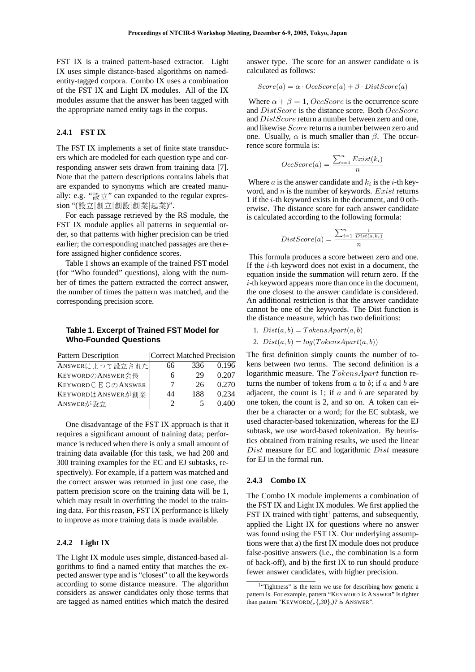FST IX is a trained pattern-based extractor. Light IX uses simple distance-based algorithms on namedentity-tagged corpora. Combo IX uses a combination of the FST IX and Light IX modules. All of the IX modules assume that the answer has been tagged with the appropriate named entity tags in the corpus.

#### **2.4.1 FST IX**

The FST IX implements a set of finite state transducers which are modeled for each question type and corresponding answer sets drawn from training data [7]. Note that the pattern descriptions contains labels that are expanded to synonyms which are created manually: e.g. "設立" can expanded to the regular expression "(設立|創立|創設|創業|起業)".

For each passage retrieved by the RS module, the FST IX module applies all patterns in sequential order, so that patterns with higher precision can be tried earlier; the corresponding matched passages are therefore assigned higher confidence scores.

Table 1 shows an example of the trained FST model (for "Who founded" questions), along with the number of times the pattern extracted the correct answer, the number of times the pattern was matched, and the corresponding precision score.

### **Table 1. Excerpt of Trained FST Model for Who-Founded Questions**

| <b>Pattern Description</b> |  |     |       | Correct Matched Precision The first definition simply counts the number of to- |  |
|----------------------------|--|-----|-------|--------------------------------------------------------------------------------|--|
| ANSWERによって設立された            |  | 336 | 0.196 | kens between two terms. The second definition is a                             |  |
| KEYWORDのANSWER会長           |  |     | 0.207 | logarithmic measure. The $Tokens$ Apart function re-                           |  |
| KEYWORD C E O Ø ANSWER     |  |     | 0.270 | turns the number of tokens from $a$ to $b$ ; if $a$ and $b$ are                |  |
| KEYWORDはANSWERが創業          |  |     | 0.234 | adjacent, the count is 1; if $a$ and $b$ are separated by                      |  |
| ANSWERが設立                  |  |     | 0.400 | one token, the count is 2, and so on. A token can ei-                          |  |

One disadvantage of the FST IX approach is that it requires a significant amount of training data; performance is reduced when there is only a small amount of training data available (for this task, we had 200 and 300 training examples for the EC and EJ subtasks, respectively). For example, if a pattern was matched and the correct answer was returned in just one case, the pattern precision score on the training data will be 1, which may result in overfitting the model to the training data. For this reason, FST IX performance is likely to improve as more training data is made available.

#### **2.4.2 Light IX**

The Light IX module uses simple, distanced-based algorithms to find a named entity that matches the expected answer type and is "closest" to all the keywords according to some distance measure. The algorithm considers as answer candidates only those terms that are tagged as named entities which match the desired answer type. The score for an answer candidate  $a$  is calculated as follows:

$$
Score(a) = \alpha \cdot OccScore(a) + \beta \cdot DistScore(a)
$$

Where  $\alpha + \beta = 1$ , OccScore is the occurrence score and DistScore is the distance score. Both OccScore and  $DistScore$  return a number between zero and one. and likewise Score returns a number between zero and one. Usually,  $\alpha$  is much smaller than  $\beta$ . The occurrence score formula is:

$$
OccScore(a) = \frac{\sum_{i=1}^{n} Exist(k_i)}{n}
$$

Where  $a$  is the answer candidate and  $k_i$  is the *i*-th keyword, and  $n$  is the number of keywords. Exist returns 1 if the i-th keyword exists in the document, and 0 otherwise. The distance score for each answer candidate is calculated according to the following formula:

$$
DistScore(a) = \frac{\sum_{i=1}^{n} \frac{1}{Dist(a, k_i)}}{n}
$$

This formula produces a score between zero and one. If the i-th keyword does not exist in a document, the equation inside the summation will return zero. If the  $i$ -th keyword appears more than once in the document, the one closest to the answer candidate is considered. An additional restriction is that the answer candidate cannot be one of the keywords. The Dist function is the distance measure, which has two definitions:

1.  $Dist(a, b) = TokensApart(a, b)$ 

2. 
$$
Dist(a, b) = log(TokensApart(a, b))
$$

The first definition simply counts the number of toturns the number of tokens from  $a$  to  $b$ ; if  $a$  and  $b$  are ther be a character or a word; for the EC subtask, we used character-based tokenization, whereas for the EJ subtask, we use word-based tokenization. By heuristics obtained from training results, we used the linear Dist measure for EC and logarithmic Dist measure for EJ in the formal run.

#### **2.4.3 Combo IX**

The Combo IX module implements a combination of the FST IX and Light IX modules. We first applied the FST IX trained with tight<sup>1</sup> patterns, and subsequently, applied the Light IX for questions where no answer was found using the FST IX. Our underlying assumptions were that a) the first IX module does not produce false-positive answers (i.e., the combination is a form of back-off), and b) the first IX to run should produce fewer answer candidates, with higher precision.

<sup>&</sup>lt;sup>1</sup>"Tightness" is the term we use for describing how generic a pattern is. For example, pattern "KEYWORD *is* ANSWER" is tighter than pattern "KEYWORD*(,.*{*,30*}*,)? is* ANSWER".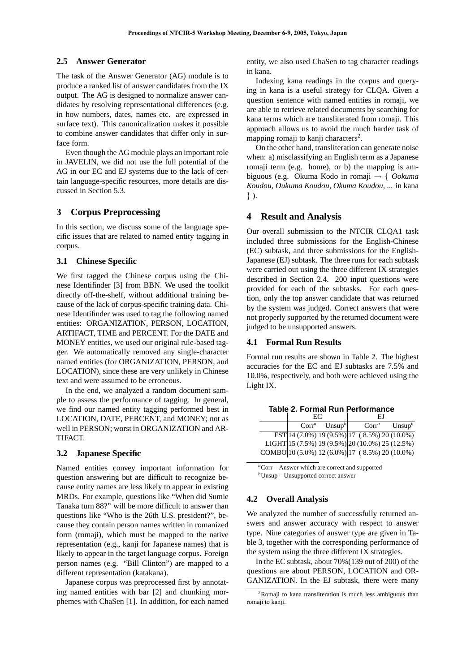## **2.5 Answer Generator**

The task of the Answer Generator (AG) module is to produce a ranked list of answer candidates from the IX output. The AG is designed to normalize answer candidates by resolving representational differences (e.g. in how numbers, dates, names etc. are expressed in surface text). This canonicalization makes it possible to combine answer candidates that differ only in surface form.

Even though the AG module plays an important role in JAVELIN, we did not use the full potential of the AG in our EC and EJ systems due to the lack of certain language-specific resources, more details are discussed in Section 5.3.

### **3 Corpus Preprocessing**

In this section, we discuss some of the language specific issues that are related to named entity tagging in corpus.

#### **3.1 Chinese Specific**

We first tagged the Chinese corpus using the Chinese Identifinder [3] from BBN. We used the toolkit directly off-the-shelf, without additional training because of the lack of corpus-specific training data. Chinese Identifinder was used to tag the following named entities: ORGANIZATION, PERSON, LOCATION, ARTIFACT, TIME and PERCENT. For the DATE and MONEY entities, we used our original rule-based tagger. We automatically removed any single-character named entities (for ORGANIZATION, PERSON, and LOCATION), since these are very unlikely in Chinese text and were assumed to be erroneous.

In the end, we analyzed a random document sample to assess the performance of tagging. In general, we find our named entity tagging performed best in LOCATION, DATE, PERCENT, and MONEY; not as well in PERSON; worst in ORGANIZATION and AR-TIFACT.

### **3.2 Japanese Specific**

Named entities convey important information for question answering but are difficult to recognize because entity names are less likely to appear in existing MRDs. For example, questions like "When did Sumie Tanaka turn 88?" will be more difficult to answer than questions like "Who is the 26th U.S. president?", because they contain person names written in romanized form (romaji), which must be mapped to the native representation (e.g., kanji for Japanese names) that is likely to appear in the target language corpus. Foreign person names (e.g. "Bill Clinton") are mapped to a different representation (katakana).

Japanese corpus was preprocessed first by annotating named entities with bar [2] and chunking morphemes with ChaSen [1]. In addition, for each named entity, we also used ChaSen to tag character readings in kana.

Indexing kana readings in the corpus and querying in kana is a useful strategy for CLQA. Given a question sentence with named entities in romaji, we are able to retrieve related documents by searching for kana terms which are transliterated from romaji. This approach allows us to avoid the much harder task of mapping romaji to kanji characters<sup>2</sup>.

On the other hand, transliteration can generate noise when: a) misclassifying an English term as a Japanese romaji term (e.g. home), or b) the mapping is ambiguous (e.g. Okuma Kodo in romaji → { *Ookuma Koudou, Oukuma Koudou, Okuma Koudou, ...* in kana } ).

### **4 Result and Analysis**

Our overall submission to the NTCIR CLQA1 task included three submissions for the English-Chinese (EC) subtask, and three submissions for the English-Japanese (EJ) subtask. The three runs for each subtask were carried out using the three different IX strategies described in Section 2.4. 200 input questions were provided for each of the subtasks. For each question, only the top answer candidate that was returned by the system was judged. Correct answers that were not properly supported by the returned document were judged to be unsupported answers.

#### **4.1 Formal Run Results**

Formal run results are shown in Table 2. The highest accuracies for the EC and EJ subtasks are 7.5% and 10.0%, respectively, and both were achieved using the Light IX.

| EC. |                             | ΕI                                              |                    |  |  |  |
|-----|-----------------------------|-------------------------------------------------|--------------------|--|--|--|
|     | $Corr^a$ Unsup <sup>b</sup> | $Corr^a$                                        | Unsup <sup>b</sup> |  |  |  |
|     |                             | FST 14 (7.0%) 19 (9.5%) 17 (8.5%) 20 (10.0%)    |                    |  |  |  |
|     |                             | LIGHT 15 (7.5%) 19 (9.5%) 20 (10.0%) 25 (12.5%) |                    |  |  |  |
|     |                             | COMBO 10 (5.0%) 12 (6.0%) 17 (8.5%) 20 (10.0%)  |                    |  |  |  |

**Table 2. Formal Run Performance**

*<sup>a</sup>*Corr – Answer which are correct and supported *<sup>b</sup>*Unsup – Unsupported correct answer

### **4.2 Overall Analysis**

We analyzed the number of successfully returned answers and answer accuracy with respect to answer type. Nine categories of answer type are given in Table 3, together with the corresponding performance of the system using the three different IX strategies.

In the EC subtask, about 70%(139 out of 200) of the questions are about PERSON, LOCATION and OR-GANIZATION. In the EJ subtask, there were many

<sup>2</sup>Romaji to kana transliteration is much less ambiguous than romaji to kanji.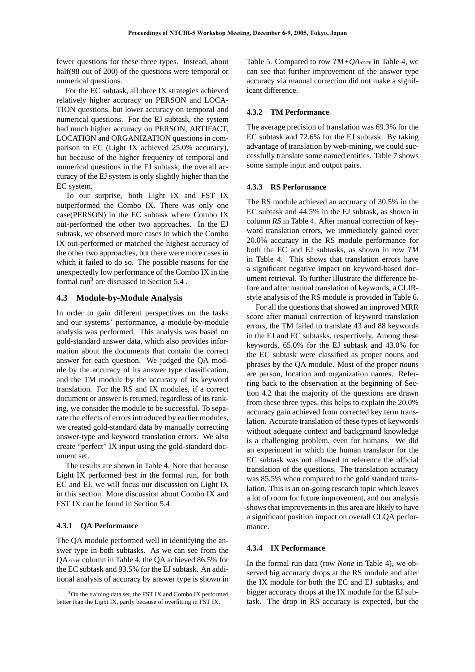fewer questions for these three types. Instead, about half(98 out of 200) of the questions were temporal or numerical questions.

For the EC subtask, all three IX strategies achieved relatively higher accuracy on PERSON and LOCA-TION questions, but lower accuracy on temporal and numerical questions. For the EJ subtask, the system had much higher accuracy on PERSON, ARTIFACT, LOCATION and ORGANIZATION questions in comparison to EC (Light IX achieved 25.0% accuracy), but because of the higher frequency of temporal and numerical questions in the EJ subtask, the overall accuracy of the EJ system is only slightly higher than the EC system.

To our surprise, both Light IX and FST IX outperformed the Combo IX. There was only one case(PERSON) in the EC subtask where Combo IX out-performed the other two approaches. In the EJ subtask, we observed more cases in which the Combo IX out-performed or matched the highest accuracy of the other two approaches, but there were more cases in which it failed to do so. The possible reasons for the unexpectedly low performance of the Combo IX in the formal run<sup>3</sup> are discussed in Section  $5.4$ .

#### **4.3 Module-by-Module Analysis**

In order to gain different perspectives on the tasks and our systems' performance, a module-by-module analysis was performed. This analysis was based on gold-standard answer data, which also provides information about the documents that contain the correct answer for each question. We judged the QA module by the accuracy of its answer type classification, and the TM module by the accuracy of its keyword translation. For the RS and IX modules, if a correct document or answer is returned, regardless of its ranking, we consider the module to be successful. To separate the effects of errors introduced by earlier modules, we created gold-standard data by manually correcting answer-type and keyword translation errors. We also create "perfect" IX input using the gold-standard document set.

The results are shown in Table 4. Note that because Light IX performed best in the formal run, for both EC and EJ, we will focus our discussion on Light IX in this section. More discussion about Combo IX and FST IX can be found in Section 5.4

#### **4.3.1 QA Performance**

The QA module performed well in identifying the answer type in both subtasks. As we can see from the QAATYPE column in Table 4, the QA achieved 86.5% for the EC subtask and 93.5% for the EJ subtask. An additional analysis of accuracy by answer type is shown in Table 5. Compared to row *TM+QAATYPE* in Table 4, we can see that further improvement of the answer type accuracy via manual correction did not make a significant difference.

#### **4.3.2 TM Performance**

The average precision of translation was 69.3% for the EC subtask and 72.6% for the EJ subtask. By taking advantage of translation by web-mining, we could successfully translate some named entities. Table 7 shows some sample input and output pairs.

#### **4.3.3 RS Performance**

The RS module achieved an accuracy of 30.5% in the EC subtask and 44.5% in the EJ subtask, as shown in column *RS* in Table 4. After manual correction of keyword translation errors, we immediately gained over 20.0% accuracy in the RS module performance for both the EC and EJ subtasks, as shown in row *TM* in Table 4. This shows that translation errors have a significant negative impact on keyword-based document retrieval. To further illustrate the difference before and after manual translation of keywords, a CLIRstyle analysis of the RS module is provided in Table 6.

For all the questions that showed an improved MRR score after manual correction of keyword translation errors, the TM failed to translate 43 and 88 keywords in the EJ and EC subtasks, respectively. Among these keywords, 65.0% for the EJ subtask and 43.0% for the EC subtask were classified as proper nouns and phrases by the QA module. Most of the proper nouns are person, location and organization names. Referring back to the observation at the beginning of Section 4.2 that the majority of the questions are drawn from these three types, this helps to explain the 20.0% accuracy gain achieved from corrected key term translation. Accurate translation of these types of keywords without adequate context and background knowledge is a challenging problem, even for humans. We did an experiment in which the human translator for the EC subtask was not allowed to reference the official translation of the questions. The translation accuracy was 85.5% when compared to the gold standard translation. This is an on-going research topic which leaves a lot of room for future improvement, and our analysis shows that improvements in this area are likely to have a significant position impact on overall CLQA performance.

## **4.3.4 IX Performance**

In the formal run data (row *None* in Table 4), we observed big accuracy drops at the RS module and after the IX module for both the EC and EJ subtasks, and bigger accuracy drops at the IX module for the EJ subtask. The drop in RS accuracy is expected, but the

<sup>3</sup>On the training data set, the FST IX and Combo IX performed better than the Light IX, partly because of overfitting in FST IX.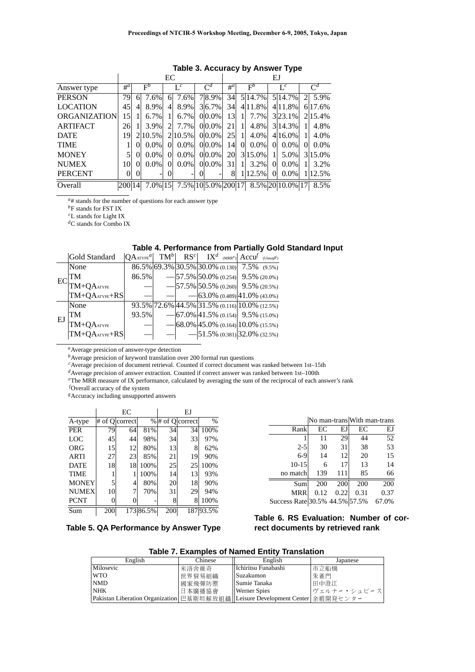|                     | EC     |          |             |          |                     | EJ                  |                 |          |             |                |                  |          |                |
|---------------------|--------|----------|-------------|----------|---------------------|---------------------|-----------------|----------|-------------|----------------|------------------|----------|----------------|
| Answer type         | $#^a$  |          | $F^b$       |          | $L^c$               | $\mathsf{\Gamma}^d$ | $#^a$           |          | $F^b$       |                | $L^c$            |          | $\mathsf{C}^d$ |
| <b>PERSON</b>       | 79     | 6        | 7.6%        | 61       | 7.6%                | 78.9%               | 34              |          | 5 14.7%     |                | 5 14.7%          |          | 5.9%           |
| <b>LOCATION</b>     | 45     | 4        | 8.9%        | 4        | 8.9%                | $3 6.7\% $          | 34              |          | $4 11.8\% $ |                | 4.11.8%          |          | 6 17.6%        |
| <b>ORGANIZATION</b> | 15     |          | 6.7%        |          | $6.7\%$             | $0 0.0\% $          | 13              |          | $7.7\%$     |                | $3 23.1\% $      |          | 2.15.4%        |
| <b>ARTIFACT</b>     | 26     |          | 3.9%        |          | 7.7%                | $0 0.0\% $          | 21              |          | 4.8%        |                | 3.14.3%          |          | 4.8%           |
| <b>DATE</b>         | 19     |          | 10.5%       |          | 2.10.5%             | $0 0.0\% $          | 25 <sup>1</sup> |          | $4.0\%$     |                | $4 16.0\% $      |          | 4.0%           |
| <b>TIME</b>         |        | 0        | $0.0\%$     | $\Omega$ | $0.0\%$             | $0 0.0\% $          | 14              | $\Omega$ | $0.0\%$     | $\overline{0}$ | $0.0\%$          | $\Omega$ | $0.0\%$        |
| <b>MONEY</b>        | 5      | 0        | $0.0\%$     | 0        | $0.0\%$             | $0 0.0\% $          | <b>20</b>       |          | $3 15.0\% $ | 1              | 5.0%             |          | 315.0%         |
| <b>NUMEX</b>        | 10     |          | $0.0\%$     | 0        | $0.0\%$             | $0 0.0\% $          | 31              |          | $3.2\%$     | $\Omega$       | $0.0\%$          |          | 3.2%           |
| <b>PERCENT</b>      | 0      | $^{(1)}$ | -           |          |                     |                     | 8               |          | 12.5%       | $\Omega$       | $0.0\%$          |          | 1 12.5%        |
| Overall             | 200 14 |          | $7.0\%$  15 |          | 7.5% 10 5.0% 200 17 |                     |                 |          |             |                | 8.5% 20 10.0% 17 |          | 8.5%           |

# **Table 3. Accuracy by Answer Type**

*<sup>a</sup>*# stands for the number of questions for each answer type

*<sup>b</sup>*F stands for FST IX

*<sup>c</sup>*L stands for Light IX

*<sup>d</sup>*C stands for Combo IX

### **Table 4. Performance from Partially Gold Standard Input**

|    | Gold Standard   | $ QA_{ATYPE}^a $ |  |  | $ \text{TM}^b $ $ \text{RS}^c $ $ \text{IX}^d$ (MRR <sup>e</sup> ) $ \text{Accu}^f$ (Unsup <sup>g</sup> ) |  |
|----|-----------------|------------------|--|--|-----------------------------------------------------------------------------------------------------------|--|
| EC | None            |                  |  |  | $86.5\%$ 69.3% 30.5% 30.0% (0.130) 7.5% (9.5%)                                                            |  |
|    | TМ              | 86.5%            |  |  | $-57.5\%$ 50.0% (0.254) 9.5% (20.0%)                                                                      |  |
|    | TM+QAATYPE      |                  |  |  | $-57.5\%$ 50.5% (0.260) 9.5% (20.5%)                                                                      |  |
|    | $TM+QAATYPE+RS$ |                  |  |  | $-63.0\%$ (0.489) 41.0\% (43.0\%)                                                                         |  |
| EJ | None            |                  |  |  | 93.5% 72.6% 44.5% 31.5% (0.116) 10.0% (12.5%)                                                             |  |
|    | TM              | 93.5%            |  |  | $-67.0\%$ 41.5% (0.154) 9.5% (15.0%)                                                                      |  |
|    | TM+QAATYPE      |                  |  |  | $-$ 68.0% 45.0% (0.164) 10.0% (15.5%)                                                                     |  |
|    | $TM+QAATYPE+RS$ |                  |  |  | $-$ 51.5% (0.381) 32.0% (32.5%)                                                                           |  |

*<sup>a</sup>*Average presicion of answer-type detection

*b*Average presicion of keyword translation over 200 formal run questions

*<sup>c</sup>*Average precision of document retrieval. Counted if correct document was ranked between 1st–15th

*<sup>d</sup>*Average precision of answer extraction. Counted if correct answer was ranked between 1st–100th

*<sup>e</sup>*The MRR measure of IX performance, calculated by averaging the sum of the reciprocal of each answer's rank

*f*Overall accuracy of the system

*<sup>g</sup>*Accuracy including unsupported answers

|              |     | EC             |           | ЕJ  |                  |          |  |  |
|--------------|-----|----------------|-----------|-----|------------------|----------|--|--|
| A-type       |     | # of Olcorrect |           |     | % # of Q correct | $\%$     |  |  |
| <b>PER</b>   | 79  | 64             | 81%       | 34  | 34               | 100%     |  |  |
| LOC          | 45  | 44             | 98%       | 34  | 33               | 97%      |  |  |
| ORG          | 15  | 12             | 80%       | 13  | 8                | 62%      |  |  |
| <b>ARTI</b>  | 27  | 23             | 85%       | 21  | 19               | 90%      |  |  |
| <b>DATE</b>  | 18  | 18             | 100%      | 25  | 25               | 100%     |  |  |
| <b>TIME</b>  |     |                | 100%      | 14  | 13               | 93%      |  |  |
| <b>MONEY</b> | 5   | 4              | 80%       | 20  | 18               | 90%      |  |  |
| <b>NUMEX</b> | 10  | 7              | 70%       | 31  | 29               | 94%      |  |  |
| <b>PCNT</b>  | 0   |                |           | 8   | 8                | 100%     |  |  |
| Sum          | 200 |                | 173 86.5% | 200 |                  | 18793.5% |  |  |

|  | Table 5. QA Performance by Answer Type |  |
|--|----------------------------------------|--|
|--|----------------------------------------|--|

|                                |      |      | No man-trans With man-trans |       |  |  |
|--------------------------------|------|------|-----------------------------|-------|--|--|
| Rank                           | EС   | EJ   | EС                          | EJ    |  |  |
| 1                              | 11   | 29   | 44                          | 52    |  |  |
| $2 - 5$                        | 30   | 31   | 38                          | 53    |  |  |
| $6 - 9$                        | 14   | 12   | 20                          | 15    |  |  |
| $10-15$                        | 6    | 17   | 13                          | 14    |  |  |
| no match                       | 139  | 111  | 85                          | 66    |  |  |
| Sum                            | 200  | 200  | 200                         | 200   |  |  |
| <b>MRR</b>                     | 0.12 | 0.22 | 0.31                        | 0.37  |  |  |
| Success Rate 30.5% 44.5% 57.5% |      |      |                             | 67.0% |  |  |

# **Table 6. RS Evaluation: Number of correct documents by retrieved rank**

**Table 7. Examples of Named Entity Translation**

| English                                                                            | Chinese | Engils.             | Japanese    |
|------------------------------------------------------------------------------------|---------|---------------------|-------------|
| Milosevic                                                                          | ≮洛舍維奇   | Ichiritsu Funabashi | 市立船橋        |
| WTO                                                                                | 上界貿易組織  | Suzakumon           |             |
| NMD                                                                                | 國家飛彈防禦  | Sumie Tanaka        | 田中澄江        |
| NHK                                                                                | ' 本廣播協會 | Werner Spies        | ヴェルナー・シュピース |
| Pakistan Liberation Organization  巴基斯坦解放組織   Leisure Development Center   余暇開発センター |         |                     |             |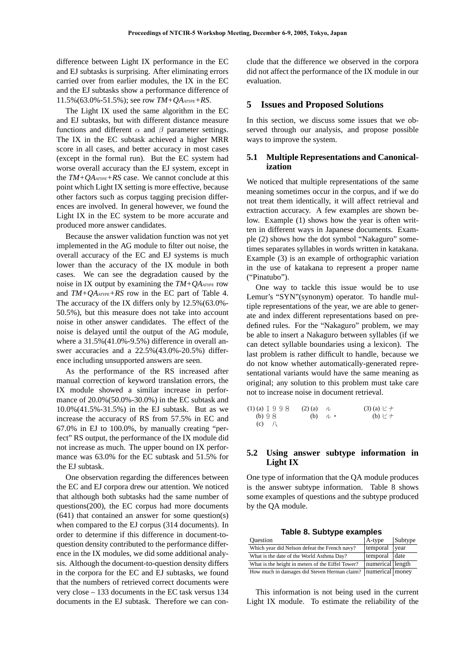difference between Light IX performance in the EC and EJ subtasks is surprising. After eliminating errors carried over from earlier modules, the IX in the EC and the EJ subtasks show a performance difference of 11.5%(63.0%-51.5%); see row *TM+QAATYPE+RS*.

The Light IX used the same algorithm in the EC and EJ subtasks, but with different distance measure functions and different  $\alpha$  and  $\beta$  parameter settings. The IX in the EC subtask achieved a higher MRR score in all cases, and better accuracy in most cases (except in the formal run). But the EC system had worse overall accuracy than the EJ system, except in the *TM+QAATYPE+RS* case. We cannot conclude at this point which Light IX setting is more effective, because other factors such as corpus tagging precision differences are involved. In general however, we found the Light IX in the EC system to be more accurate and produced more answer candidates.

Because the answer validation function was not yet implemented in the AG module to filter out noise, the overall accuracy of the EC and EJ systems is much lower than the accuracy of the IX module in both cases. We can see the degradation caused by the noise in IX output by examining the *TM+QAATYPE* row and *TM+QAATYPE+RS* row in the EC part of Table 4. The accuracy of the IX differs only by 12.5%(63.0%- 50.5%), but this measure does not take into account noise in other answer candidates. The effect of the noise is delayed until the output of the AG module, where a 31.5%(41.0%-9.5%) difference in overall answer accuracies and a 22.5%(43.0%-20.5%) difference including unsupported answers are seen.

As the performance of the RS increased after manual correction of keyword translation errors, the IX module showed a similar increase in performance of 20.0%(50.0%-30.0%) in the EC subtask and 10.0%(41.5%-31.5%) in the EJ subtask. But as we increase the accuracy of RS from 57.5% in EC and 67.0% in EJ to 100.0%, by manually creating "perfect" RS output, the performance of the IX module did not increase as much. The upper bound on IX performance was 63.0% for the EC subtask and 51.5% for the EJ subtask.

One observation regarding the differences between the EC and EJ corpora drew our attention. We noticed that although both subtasks had the same number of questions(200), the EC corpus had more documents (641) that contained an answer for some question(s) when compared to the EJ corpus (314 documents). In order to determine if this difference in document-toquestion density contributed to the performance difference in the IX modules, we did some additional analysis. Although the document-to-question density differs in the corpora for the EC and EJ subtasks, we found that the numbers of retrieved correct documents were very close – 133 documents in the EC task versus 134 documents in the EJ subtask. Therefore we can conclude that the difference we observed in the corpora did not affect the performance of the IX module in our evaluation.

#### **5 Issues and Proposed Solutions**

In this section, we discuss some issues that we observed through our analysis, and propose possible ways to improve the system.

### **5.1 Multiple Representations and Canonicalization**

We noticed that multiple representations of the same meaning sometimes occur in the corpus, and if we do not treat them identically, it will affect retrieval and extraction accuracy. A few examples are shown below. Example (1) shows how the year is often written in different ways in Japanese documents. Example (2) shows how the dot symbol "Nakaguro" sometimes separates syllables in words written in katakana. Example (3) is an example of orthographic variation in the use of katakana to represent a proper name ("Pinatubo").

One way to tackle this issue would be to use Lemur's "SYN"(synonym) operator. To handle multiple representations of the year, we are able to generate and index different representations based on predefined rules. For the "Nakaguro" problem, we may be able to insert a Nakaguro between syllables (if we can detect syllable boundaries using a lexicon). The last problem is rather difficult to handle, because we do not know whether automatically-generated representational variants would have the same meaning as original; any solution to this problem must take care not to increase noise in document retrieval.

| $(1)$ (a) 1 9 9 8 | $(2)$ (a) |               | $(3)$ (a) $\geq +$ |  |
|-------------------|-----------|---------------|--------------------|--|
| (b) $98$          |           | $(b)$ $\mu$ . | $(b)$ $E+$         |  |
| $(c)$ /           |           |               |                    |  |

### **5.2 Using answer subtype information in Light IX**

One type of information that the QA module produces is the answer subtype information. Table 8 shows some examples of questions and the subtype produced by the QA module.

**Table 8. Subtype examples**

| <b>Ouestion</b>                                                  | $A$ -type        | Subtype |
|------------------------------------------------------------------|------------------|---------|
| Which year did Nelson defeat the French navy?                    | temporal         | vear    |
| What is the date of the World Asthma Day?                        | temporal         | date    |
| What is the height in meters of the Eiffel Tower?                | numerical length |         |
| How much in damages did Steven Herman claim?   numerical   money |                  |         |

This information is not being used in the current Light IX module. To estimate the reliability of the